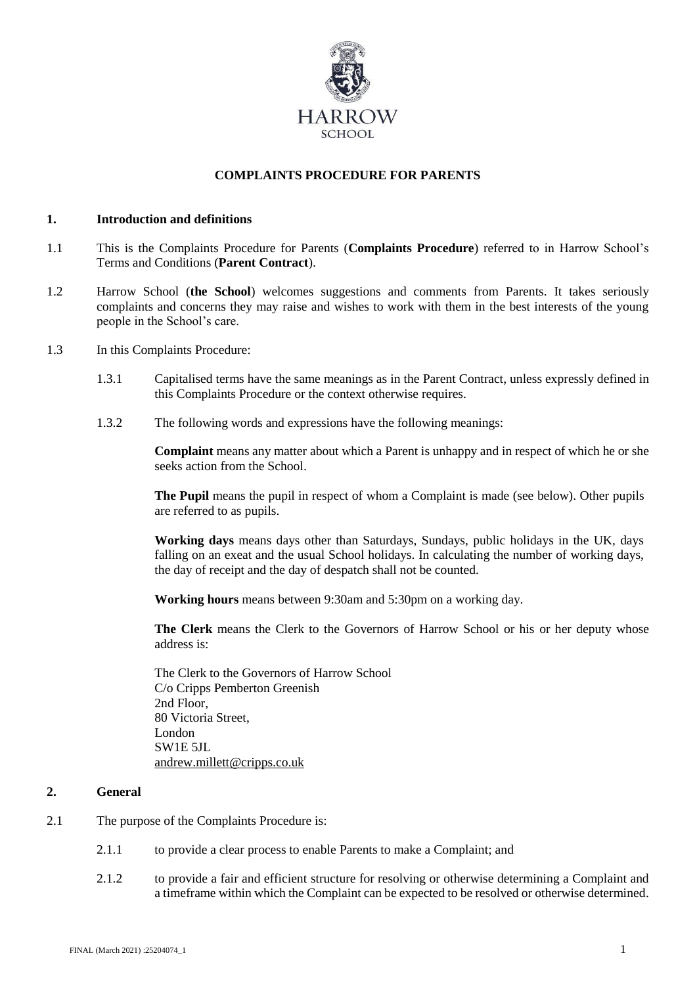

# **COMPLAINTS PROCEDURE FOR PARENTS**

#### **1. Introduction and definitions**

- 1.1 This is the Complaints Procedure for Parents (**Complaints Procedure**) referred to in Harrow School's Terms and Conditions (**Parent Contract**).
- 1.2 Harrow School (**the School**) welcomes suggestions and comments from Parents. It takes seriously complaints and concerns they may raise and wishes to work with them in the best interests of the young people in the School's care.
- 1.3 In this Complaints Procedure:
	- 1.3.1 Capitalised terms have the same meanings as in the Parent Contract, unless expressly defined in this Complaints Procedure or the context otherwise requires.
	- 1.3.2 The following words and expressions have the following meanings:

**Complaint** means any matter about which a Parent is unhappy and in respect of which he or she seeks action from the School.

**The Pupil** means the pupil in respect of whom a Complaint is made (see below). Other pupils are referred to as pupils.

**Working days** means days other than Saturdays, Sundays, public holidays in the UK, days falling on an exeat and the usual School holidays. In calculating the number of working days, the day of receipt and the day of despatch shall not be counted.

**Working hours** means between 9:30am and 5:30pm on a working day.

**The Clerk** means the Clerk to the Governors of Harrow School or his or her deputy whose address is:

The Clerk to the Governors of Harrow School C/o Cripps Pemberton Greenish 2nd Floor, 80 Victoria Street, London SW1E 5JL [andrew.millett@cripps.co.uk](mailto:andrew.millett@cripps.co.uk)

## **2. General**

- 2.1 The purpose of the Complaints Procedure is:
	- 2.1.1 to provide a clear process to enable Parents to make a Complaint; and
	- 2.1.2 to provide a fair and efficient structure for resolving or otherwise determining a Complaint and a timeframe within which the Complaint can be expected to be resolved or otherwise determined.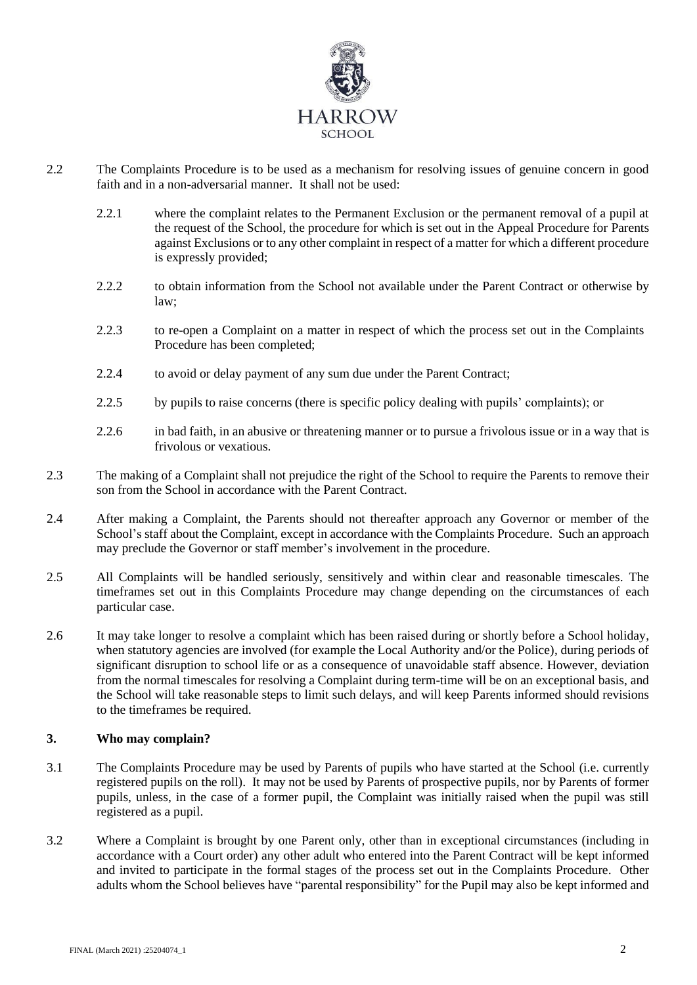

- 2.2 The Complaints Procedure is to be used as a mechanism for resolving issues of genuine concern in good faith and in a non-adversarial manner. It shall not be used:
	- 2.2.1 where the complaint relates to the Permanent Exclusion or the permanent removal of a pupil at the request of the School, the procedure for which is set out in the Appeal Procedure for Parents against Exclusions or to any other complaint in respect of a matter for which a different procedure is expressly provided;
	- 2.2.2 to obtain information from the School not available under the Parent Contract or otherwise by  $law<sup>2</sup>$
	- 2.2.3 to re-open a Complaint on a matter in respect of which the process set out in the Complaints Procedure has been completed;
	- 2.2.4 to avoid or delay payment of any sum due under the Parent Contract;
	- 2.2.5 by pupils to raise concerns (there is specific policy dealing with pupils' complaints); or
	- 2.2.6 in bad faith, in an abusive or threatening manner or to pursue a frivolous issue or in a way that is frivolous or vexatious.
- 2.3 The making of a Complaint shall not prejudice the right of the School to require the Parents to remove their son from the School in accordance with the Parent Contract.
- 2.4 After making a Complaint, the Parents should not thereafter approach any Governor or member of the School's staff about the Complaint, except in accordance with the Complaints Procedure. Such an approach may preclude the Governor or staff member's involvement in the procedure.
- 2.5 All Complaints will be handled seriously, sensitively and within clear and reasonable timescales. The timeframes set out in this Complaints Procedure may change depending on the circumstances of each particular case.
- 2.6 It may take longer to resolve a complaint which has been raised during or shortly before a School holiday, when statutory agencies are involved (for example the Local Authority and/or the Police), during periods of significant disruption to school life or as a consequence of unavoidable staff absence. However, deviation from the normal timescales for resolving a Complaint during term-time will be on an exceptional basis, and the School will take reasonable steps to limit such delays, and will keep Parents informed should revisions to the timeframes be required.

## **3. Who may complain?**

- 3.1 The Complaints Procedure may be used by Parents of pupils who have started at the School (i.e. currently registered pupils on the roll). It may not be used by Parents of prospective pupils, nor by Parents of former pupils, unless, in the case of a former pupil, the Complaint was initially raised when the pupil was still registered as a pupil.
- 3.2 Where a Complaint is brought by one Parent only, other than in exceptional circumstances (including in accordance with a Court order) any other adult who entered into the Parent Contract will be kept informed and invited to participate in the formal stages of the process set out in the Complaints Procedure. Other adults whom the School believes have "parental responsibility" for the Pupil may also be kept informed and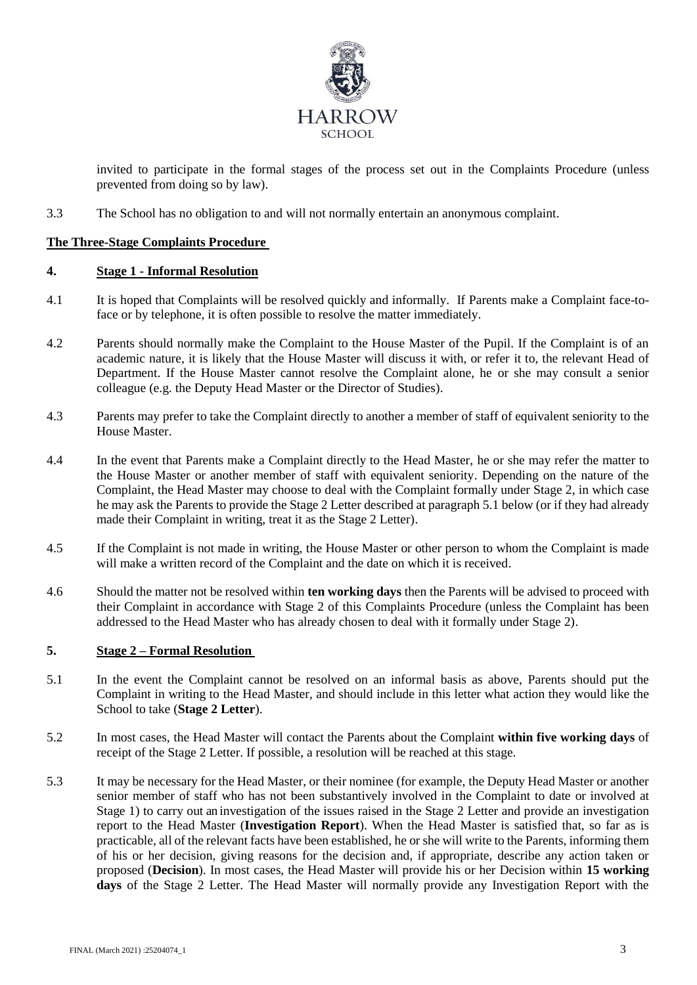

invited to participate in the formal stages of the process set out in the Complaints Procedure (unless prevented from doing so by law).

3.3 The School has no obligation to and will not normally entertain an anonymous complaint.

# **The Three-Stage Complaints Procedure**

## **4. Stage 1 - Informal Resolution**

- 4.1 It is hoped that Complaints will be resolved quickly and informally. If Parents make a Complaint face-toface or by telephone, it is often possible to resolve the matter immediately.
- 4.2 Parents should normally make the Complaint to the House Master of the Pupil. If the Complaint is of an academic nature, it is likely that the House Master will discuss it with, or refer it to, the relevant Head of Department. If the House Master cannot resolve the Complaint alone, he or she may consult a senior colleague (e.g. the Deputy Head Master or the Director of Studies).
- 4.3 Parents may prefer to take the Complaint directly to another a member of staff of equivalent seniority to the House Master.
- 4.4 In the event that Parents make a Complaint directly to the Head Master, he or she may refer the matter to the House Master or another member of staff with equivalent seniority. Depending on the nature of the Complaint, the Head Master may choose to deal with the Complaint formally under Stage 2, in which case he may ask the Parents to provide the Stage 2 Letter described at paragrap[h 5.1](#page-2-0) below (or if they had already made their Complaint in writing, treat it as the Stage 2 Letter).
- 4.5 If the Complaint is not made in writing, the House Master or other person to whom the Complaint is made will make a written record of the Complaint and the date on which it is received.
- 4.6 Should the matter not be resolved within **ten working days** then the Parents will be advised to proceed with their Complaint in accordance with Stage 2 of this Complaints Procedure (unless the Complaint has been addressed to the Head Master who has already chosen to deal with it formally under Stage 2).

# **5. Stage 2 – Formal Resolution**

- <span id="page-2-0"></span>5.1 In the event the Complaint cannot be resolved on an informal basis as above, Parents should put the Complaint in writing to the Head Master, and should include in this letter what action they would like the School to take (**Stage 2 Letter**).
- 5.2 In most cases, the Head Master will contact the Parents about the Complaint **within five working days** of receipt of the Stage 2 Letter. If possible, a resolution will be reached at this stage.
- 5.3 It may be necessary for the Head Master, or their nominee (for example, the Deputy Head Master or another senior member of staff who has not been substantively involved in the Complaint to date or involved at Stage 1) to carry out an investigation of the issues raised in the Stage 2 Letter and provide an investigation report to the Head Master (**Investigation Report**). When the Head Master is satisfied that, so far as is practicable, all of the relevant facts have been established, he or she will write to the Parents, informing them of his or her decision, giving reasons for the decision and, if appropriate, describe any action taken or proposed (**Decision**). In most cases, the Head Master will provide his or her Decision within **15 working days** of the Stage 2 Letter. The Head Master will normally provide any Investigation Report with the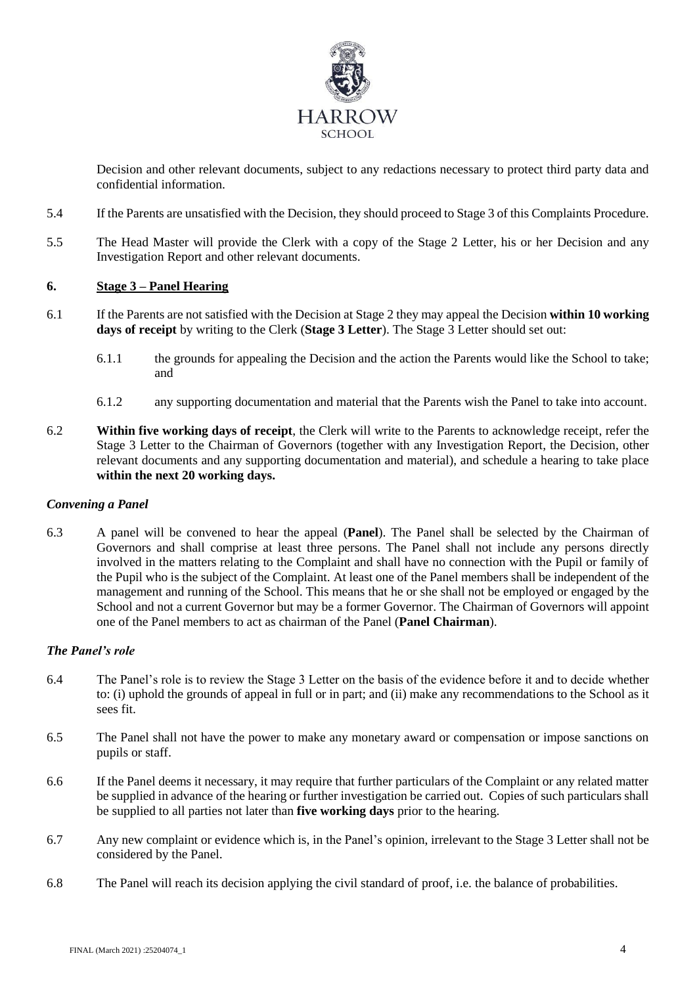

Decision and other relevant documents, subject to any redactions necessary to protect third party data and confidential information.

- 5.4 If the Parents are unsatisfied with the Decision, they should proceed to Stage 3 of this Complaints Procedure.
- 5.5 The Head Master will provide the Clerk with a copy of the Stage 2 Letter, his or her Decision and any Investigation Report and other relevant documents.

# **6. Stage 3 – Panel Hearing**

- 6.1 If the Parents are not satisfied with the Decision at Stage 2 they may appeal the Decision **within 10 working days of receipt** by writing to the Clerk (**Stage 3 Letter**). The Stage 3 Letter should set out:
	- 6.1.1 the grounds for appealing the Decision and the action the Parents would like the School to take; and
	- 6.1.2 any supporting documentation and material that the Parents wish the Panel to take into account.
- 6.2 **Within five working days of receipt**, the Clerk will write to the Parents to acknowledge receipt, refer the Stage 3 Letter to the Chairman of Governors (together with any Investigation Report, the Decision, other relevant documents and any supporting documentation and material), and schedule a hearing to take place **within the next 20 working days.**

## *Convening a Panel*

6.3 A panel will be convened to hear the appeal (**Panel**). The Panel shall be selected by the Chairman of Governors and shall comprise at least three persons. The Panel shall not include any persons directly involved in the matters relating to the Complaint and shall have no connection with the Pupil or family of the Pupil who is the subject of the Complaint. At least one of the Panel members shall be independent of the management and running of the School. This means that he or she shall not be employed or engaged by the School and not a current Governor but may be a former Governor. The Chairman of Governors will appoint one of the Panel members to act as chairman of the Panel (**Panel Chairman**).

## *The Panel's role*

- 6.4 The Panel's role is to review the Stage 3 Letter on the basis of the evidence before it and to decide whether to: (i) uphold the grounds of appeal in full or in part; and (ii) make any recommendations to the School as it sees fit.
- 6.5 The Panel shall not have the power to make any monetary award or compensation or impose sanctions on pupils or staff.
- 6.6 If the Panel deems it necessary, it may require that further particulars of the Complaint or any related matter be supplied in advance of the hearing or further investigation be carried out. Copies of such particulars shall be supplied to all parties not later than **five working days** prior to the hearing.
- 6.7 Any new complaint or evidence which is, in the Panel's opinion, irrelevant to the Stage 3 Letter shall not be considered by the Panel.
- 6.8 The Panel will reach its decision applying the civil standard of proof, i.e. the balance of probabilities.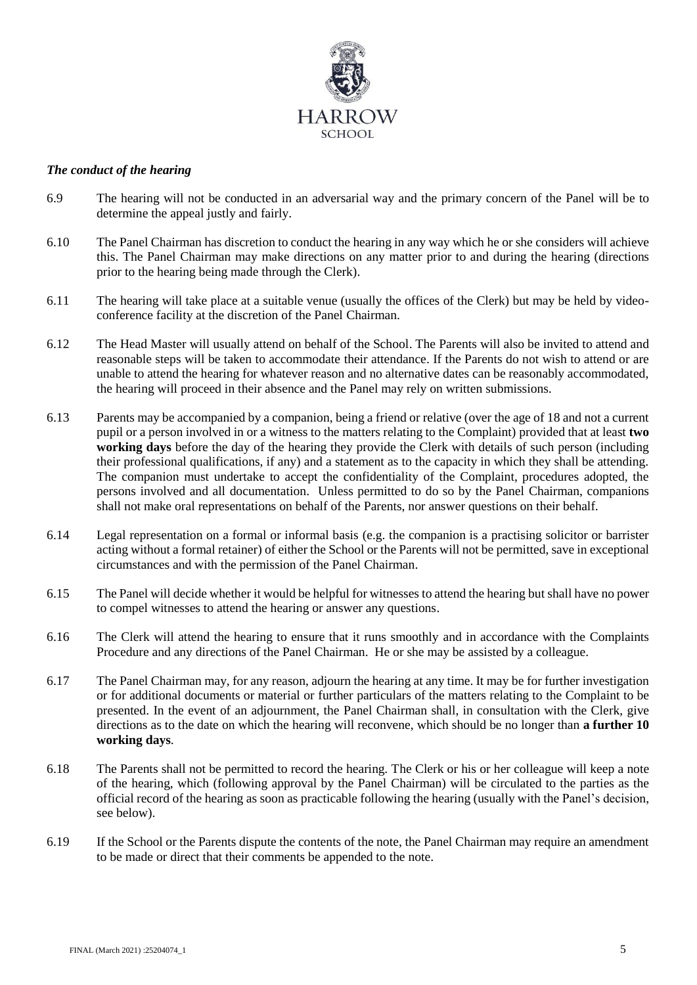

#### *The conduct of the hearing*

- 6.9 The hearing will not be conducted in an adversarial way and the primary concern of the Panel will be to determine the appeal justly and fairly.
- 6.10 The Panel Chairman has discretion to conduct the hearing in any way which he or she considers will achieve this. The Panel Chairman may make directions on any matter prior to and during the hearing (directions prior to the hearing being made through the Clerk).
- 6.11 The hearing will take place at a suitable venue (usually the offices of the Clerk) but may be held by videoconference facility at the discretion of the Panel Chairman.
- 6.12 The Head Master will usually attend on behalf of the School. The Parents will also be invited to attend and reasonable steps will be taken to accommodate their attendance. If the Parents do not wish to attend or are unable to attend the hearing for whatever reason and no alternative dates can be reasonably accommodated, the hearing will proceed in their absence and the Panel may rely on written submissions.
- 6.13 Parents may be accompanied by a companion, being a friend or relative (over the age of 18 and not a current pupil or a person involved in or a witness to the matters relating to the Complaint) provided that at least **two working days** before the day of the hearing they provide the Clerk with details of such person (including their professional qualifications, if any) and a statement as to the capacity in which they shall be attending. The companion must undertake to accept the confidentiality of the Complaint, procedures adopted, the persons involved and all documentation. Unless permitted to do so by the Panel Chairman, companions shall not make oral representations on behalf of the Parents, nor answer questions on their behalf.
- 6.14 Legal representation on a formal or informal basis (e.g. the companion is a practising solicitor or barrister acting without a formal retainer) of either the School or the Parents will not be permitted, save in exceptional circumstances and with the permission of the Panel Chairman.
- 6.15 The Panel will decide whether it would be helpful for witnesses to attend the hearing but shall have no power to compel witnesses to attend the hearing or answer any questions.
- 6.16 The Clerk will attend the hearing to ensure that it runs smoothly and in accordance with the Complaints Procedure and any directions of the Panel Chairman. He or she may be assisted by a colleague.
- 6.17 The Panel Chairman may, for any reason, adjourn the hearing at any time. It may be for further investigation or for additional documents or material or further particulars of the matters relating to the Complaint to be presented. In the event of an adjournment, the Panel Chairman shall, in consultation with the Clerk, give directions as to the date on which the hearing will reconvene, which should be no longer than **a further 10 working days**.
- 6.18 The Parents shall not be permitted to record the hearing. The Clerk or his or her colleague will keep a note of the hearing, which (following approval by the Panel Chairman) will be circulated to the parties as the official record of the hearing as soon as practicable following the hearing (usually with the Panel's decision, see below).
- 6.19 If the School or the Parents dispute the contents of the note, the Panel Chairman may require an amendment to be made or direct that their comments be appended to the note.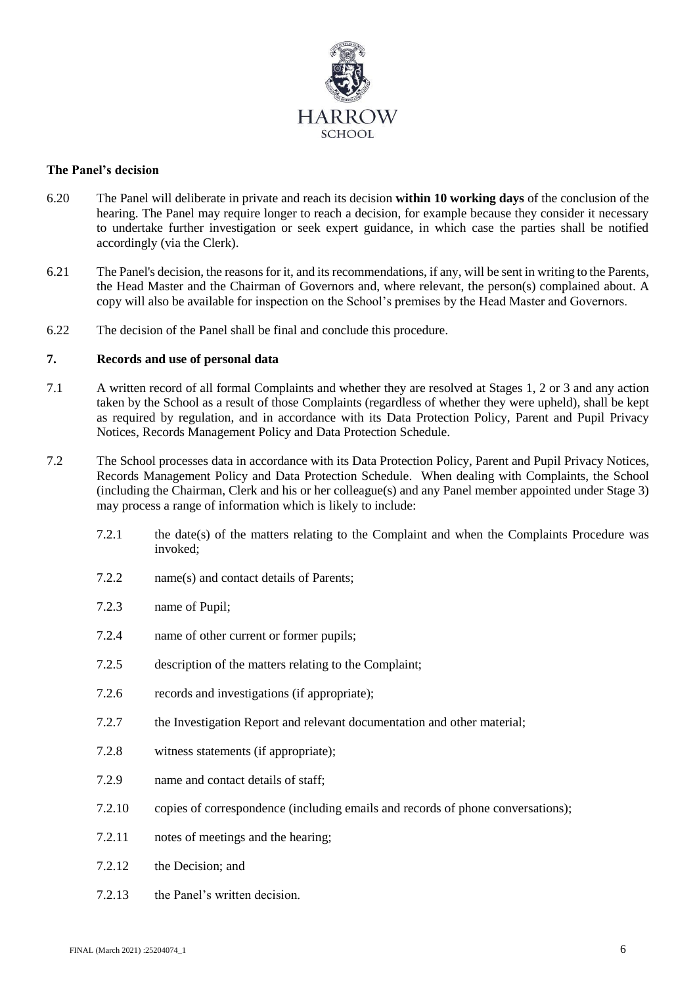

#### **The Panel's decision**

- 6.20 The Panel will deliberate in private and reach its decision **within 10 working days** of the conclusion of the hearing. The Panel may require longer to reach a decision, for example because they consider it necessary to undertake further investigation or seek expert guidance, in which case the parties shall be notified accordingly (via the Clerk).
- 6.21 The Panel's decision, the reasons for it, and its recommendations, if any, will be sent in writing to the Parents, the Head Master and the Chairman of Governors and, where relevant, the person(s) complained about. A copy will also be available for inspection on the School's premises by the Head Master and Governors.
- 6.22 The decision of the Panel shall be final and conclude this procedure.

## **7. Records and use of personal data**

- 7.1 A written record of all formal Complaints and whether they are resolved at Stages 1, 2 or 3 and any action taken by the School as a result of those Complaints (regardless of whether they were upheld), shall be kept as required by regulation, and in accordance with its Data Protection Policy, Parent and Pupil Privacy Notices, Records Management Policy and Data Protection Schedule.
- 7.2 The School processes data in accordance with its Data Protection Policy, Parent and Pupil Privacy Notices, Records Management Policy and Data Protection Schedule. When dealing with Complaints, the School (including the Chairman, Clerk and his or her colleague(s) and any Panel member appointed under Stage 3) may process a range of information which is likely to include:
	- 7.2.1 the date(s) of the matters relating to the Complaint and when the Complaints Procedure was invoked;
	- 7.2.2 name(s) and contact details of Parents;
	- 7.2.3 name of Pupil;
	- 7.2.4 name of other current or former pupils;
	- 7.2.5 description of the matters relating to the Complaint;
	- 7.2.6 records and investigations (if appropriate);
	- 7.2.7 the Investigation Report and relevant documentation and other material;
	- 7.2.8 witness statements (if appropriate);
	- 7.2.9 name and contact details of staff;
	- 7.2.10 copies of correspondence (including emails and records of phone conversations);
	- 7.2.11 notes of meetings and the hearing;
	- 7.2.12 the Decision; and
	- 7.2.13 the Panel's written decision.